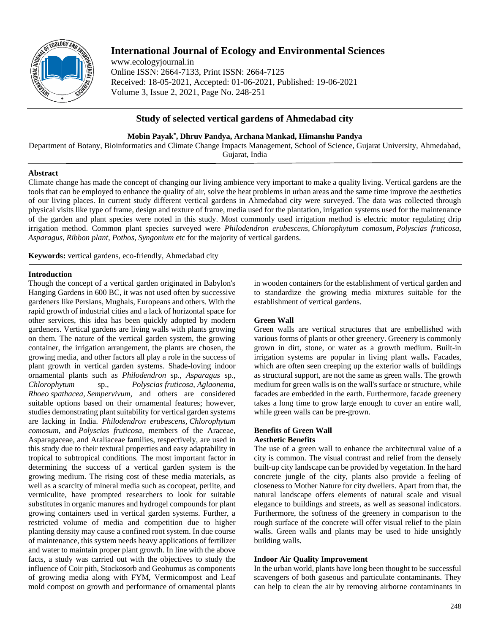

# **International Journal of Ecology and Environmental Sciences**

www.ecologyjournal.in Online ISSN: 2664-7133, Print ISSN: 2664-7125 Received: 18-05-2021, Accepted: 01-06-2021, Published: 19-06-2021 Volume 3, Issue 2, 2021, Page No. 248-251

# **Study of selected vertical gardens of Ahmedabad city**

# **Mobin Payak\* , Dhruv Pandya, Archana Mankad, Himanshu Pandya**

Department of Botany, Bioinformatics and Climate Change Impacts Management, School of Science, Gujarat University, Ahmedabad, Gujarat, India

# **Abstract**

Climate change has made the concept of changing our living ambience very important to make a quality living. Vertical gardens are the tools that can be employed to enhance the quality of air, solve the heat problems in urban areas and the same time improve the aesthetics of our living places. In current study different vertical gardens in Ahmedabad city were surveyed. The data was collected through physical visits like type of frame, design and texture of frame, media used for the plantation, irrigation systems used for the maintenance of the garden and plant species were noted in this study. Most commonly used irrigation method is electric motor regulating drip irrigation method. Common plant species surveyed were *Philodendron erubescens, Chlorophytum comosum, Polyscias fruticosa, Asparagus, Ribbon plant, Pothos, Syngonium* etc for the majority of vertical gardens.

**Keywords:** vertical gardens, eco-friendly, Ahmedabad city

# **Introduction**

Though the concept of a vertical garden originated in Babylon's Hanging Gardens in 600 BC, it was not used often by successive gardeners like Persians, Mughals, Europeans and others. With the rapid growth of industrial cities and a lack of horizontal space for other services, this idea has been quickly adopted by modern gardeners. Vertical gardens are living walls with plants growing on them. The nature of the vertical garden system, the growing container, the irrigation arrangement, the plants are chosen, the growing media, and other factors all play a role in the success of plant growth in vertical garden systems. Shade-loving indoor ornamental plants such as *Philodendron* sp., *Asparagus* sp., *Chlorophytum* sp., *Polyscias fruticosa, Aglaonema, Rhoeo spathacea, Sempervivum,* and others are considered suitable options based on their ornamental features; however, studies demonstrating plant suitability for vertical garden systems are lacking in India. *Philodendron erubescens, Chlorophytum comosum,* and *Polyscias fruticosa,* members of the Araceae, Asparagaceae, and Araliaceae families, respectively, are used in this study due to their textural properties and easy adaptability in tropical to subtropical conditions. The most important factor in determining the success of a vertical garden system is the growing medium. The rising cost of these media materials, as well as a scarcity of mineral media such as cocopeat, perlite, and vermiculite, have prompted researchers to look for suitable substitutes in organic manures and hydrogel compounds for plant growing containers used in vertical garden systems. Further, a restricted volume of media and competition due to higher planting density may cause a confined root system. In due course of maintenance, this system needs heavy applications of fertilizer and water to maintain proper plant growth. In line with the above facts, a study was carried out with the objectives to study the influence of Coir pith, Stockosorb and Geohumus as components of growing media along with FYM, Vermicompost and Leaf mold compost on growth and performance of ornamental plants

in wooden containers for the establishment of vertical garden and to standardize the growing media mixtures suitable for the establishment of vertical gardens.

# **Green Wall**

Green walls are vertical structures that are embellished with various forms of plants or other greenery. Greenery is commonly grown in dirt, stone, or water as a growth medium. Built-in irrigation systems are popular in living plant walls**.** Facades, which are often seen creeping up the exterior walls of buildings as structural support, are not the same as green walls. The growth medium for green walls is on the wall's surface or structure, while facades are embedded in the earth. Furthermore, facade greenery takes a long time to grow large enough to cover an entire wall, while green walls can be pre-grown.

#### **Benefits of Green Wall Aesthetic Benefits**

The use of a green wall to enhance the architectural value of a city is common. The visual contrast and relief from the densely built-up city landscape can be provided by vegetation. In the hard concrete jungle of the city, plants also provide a feeling of closeness to Mother Nature for city dwellers. Apart from that, the natural landscape offers elements of natural scale and visual elegance to buildings and streets, as well as seasonal indicators. Furthermore, the softness of the greenery in comparison to the rough surface of the concrete will offer visual relief to the plain walls. Green walls and plants may be used to hide unsightly building walls.

# **Indoor Air Quality Improvement**

In the urban world, plants have long been thought to be successful scavengers of both gaseous and particulate contaminants. They can help to clean the air by removing airborne contaminants in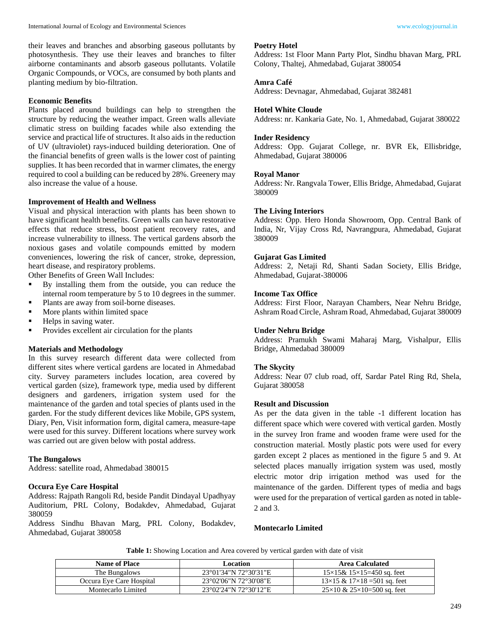their leaves and branches and absorbing gaseous pollutants by photosynthesis. They use their leaves and branches to filter airborne contaminants and absorb gaseous pollutants. Volatile Organic Compounds, or VOCs, are consumed by both plants and planting medium by bio-filtration.

#### **Economic Benefits**

Plants placed around buildings can help to strengthen the structure by reducing the weather impact. Green walls alleviate climatic stress on building facades while also extending the service and practical life of structures. It also aids in the reduction of UV (ultraviolet) rays-induced building deterioration. One of the financial benefits of green walls is the lower cost of painting supplies. It has been recorded that in warmer climates, the energy required to cool a building can be reduced by 28%. Greenery may also increase the value of a house.

#### **Improvement of Health and Wellness**

Visual and physical interaction with plants has been shown to have significant health benefits. Green walls can have restorative effects that reduce stress, boost patient recovery rates, and increase vulnerability to illness. The vertical gardens absorb the noxious gases and volatile compounds emitted by modern conveniences, lowering the risk of cancer, stroke, depression, heart disease, and respiratory problems.

Other Benefits of Green Wall Includes:

- By installing them from the outside, you can reduce the internal room temperature by 5 to 10 degrees in the summer.
- Plants are away from soil-borne diseases.
- **More plants within limited space**
- Helps in saving water.
- **Provides excellent air circulation for the plants**

#### **Materials and Methodology**

In this survey research different data were collected from different sites where vertical gardens are located in Ahmedabad city. Survey parameters includes location, area covered by vertical garden (size), framework type, media used by different designers and gardeners, irrigation system used for the maintenance of the garden and total species of plants used in the garden. For the study different devices like Mobile, GPS system, Diary, Pen, Visit information form, digital camera, measure-tape were used for this survey. Different locations where survey work was carried out are given below with postal address.

#### **The Bungalows**

Address: satellite road, Ahmedabad 380015

#### **Occura Eye Care Hospital**

Address: Rajpath Rangoli Rd, beside Pandit Dindayal Upadhyay Auditorium, PRL Colony, Bodakdev, Ahmedabad, Gujarat 380059

Address Sindhu Bhavan Marg, PRL Colony, Bodakdev, Ahmedabad, Gujarat 380058

#### **Poetry Hotel**

Address: 1st Floor Mann Party Plot, Sindhu bhavan Marg, PRL Colony, Thaltej, Ahmedabad, Gujarat 380054

#### **Amra Café**

Address: Devnagar, Ahmedabad, Gujarat 382481

#### **Hotel White Cloude**

Address: nr. Kankaria Gate, No. 1, Ahmedabad, Gujarat 380022

#### **Inder Residency**

Address: Opp. Gujarat College, nr. BVR Ek, Ellisbridge, Ahmedabad, Gujarat 380006

#### **Royal Manor**

Address: Nr. Rangvala Tower, Ellis Bridge, Ahmedabad, Gujarat 380009

#### **The Living Interiors**

Address: Opp. Hero Honda Showroom, Opp. Central Bank of India, Nr, Vijay Cross Rd, Navrangpura, Ahmedabad, Gujarat 380009

#### **Gujarat Gas Limited**

Address: 2, Netaji Rd, Shanti Sadan Society, Ellis Bridge, Ahmedabad, Gujarat-380006

#### **Income Tax Office**

Address: First Floor, Narayan Chambers, Near Nehru Bridge, Ashram Road Circle, Ashram Road, Ahmedabad, Gujarat 380009

#### **Under Nehru Bridge**

Address: Pramukh Swami Maharaj Marg, Vishalpur, Ellis Bridge, Ahmedabad 380009

#### **The Skycity**

Address: Near 07 club road, off, Sardar Patel Ring Rd, Shela, Gujarat 380058

### **Result and Discussion**

As per the data given in the table -1 different location has different space which were covered with vertical garden. Mostly in the survey Iron frame and wooden frame were used for the construction material. Mostly plastic pots were used for every garden except 2 places as mentioned in the figure 5 and 9. At selected places manually irrigation system was used, mostly electric motor drip irrigation method was used for the maintenance of the garden. Different types of media and bags were used for the preparation of vertical garden as noted in table-2 and 3.

# **Montecarlo Limited**

**Table 1:** Showing Location and Area covered by vertical garden with date of visit

| <b>Name of Place</b>     | Location              | Area Calculated                          |  |
|--------------------------|-----------------------|------------------------------------------|--|
| The Bungalows            | 23°01'34"N 72°30'31"E | $15\times15\& 15\times15=450$ sq. feet   |  |
| Occura Eve Care Hospital | 23°02′06″N 72°30′08″E | $13\times15$ & $17\times18=501$ sq. feet |  |
| Montecarlo Limited       | 23°02'24"N 72°30'12"E | $25\times10 \& 25\times10=500$ sq. feet  |  |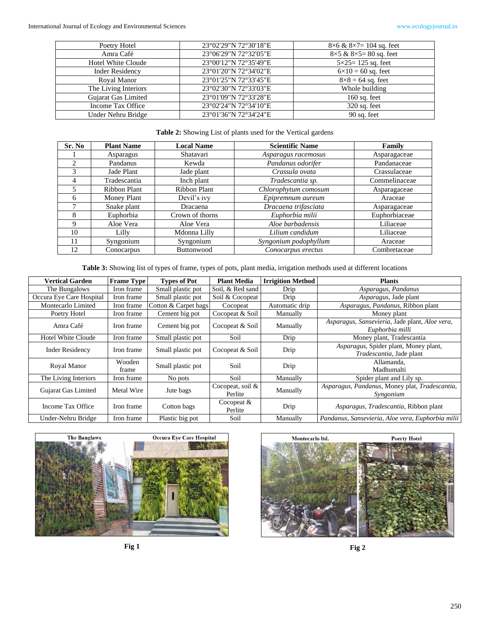| Poetry Hotel              | 23°02'29"N 72°30'18"E | $8\times6$ & $8\times7=104$ sq. feet |
|---------------------------|-----------------------|--------------------------------------|
| Amra Café                 | 23°06'29"N 72°32'05"E | $8\times5$ & $8\times5=80$ sq. feet  |
| <b>Hotel White Cloude</b> | 23°00'12"N 72°35'49"E | $5 \times 25 = 125$ sq. feet         |
| <b>Inder Residency</b>    | 23°01'20"N 72°34'02"E | $6 \times 10 = 60$ sq. feet          |
| Royal Manor               | 23°01'25"N 72°33'45"E | $8\times8 = 64$ sq. feet             |
| The Living Interiors      | 23°02'30"N 72°33'03"E | Whole building                       |
| Gujarat Gas Limited       | 23°01'09"N 72°33'28"E | $160$ sq. feet                       |
| Income Tax Office         | 23°02'24"N 72°34'10"E | $320$ sq. feet                       |
| Under Nehru Bridge        | 23°01'36"N 72°34'24"E | 90 sq. feet                          |

# **Table 2:** Showing List of plants used for the Vertical gardens

| Sr. No       | <b>Plant Name</b> | <b>Local Name</b>   | <b>Scientific Name</b> | Family        |
|--------------|-------------------|---------------------|------------------------|---------------|
|              | Asparagus         | Shatavari           | Asparagus racemosus    | Asparagaceae  |
| 2            | Pandanus          | Kewda               | Pandanus odorifer      | Pandanaceae   |
|              | Jade Plant        | Jade plant          | Crassula ovata         | Crassulaceae  |
| 4            | Tradescantia      | Inch plant          | Tradescantia sp.       | Commelinaceae |
|              | Ribbon Plant      | <b>Ribbon Plant</b> | Chlorophytum comosum   | Asparagaceae  |
| <sub>6</sub> | Money Plant       | Devil's ivy         | Epipremnum aureum      | Araceae       |
|              | Snake plant       | Dracaena            | Dracaena trifasciata   | Asparagaceae  |
| 8            | Euphorbia         | Crown of thorns     | Euphorbia milii        | Euphorbiaceae |
| 9            | Aloe Vera         | Aloe Vera           | Aloe barbadensis       | Liliaceae     |
| 10           | Lilly             | Mdonna Lilly        | Lilium candidum        | Liliaceae     |
| 11           | Syngonium         | Syngonium           | Syngonium podophyllum  | Araceae       |
| 12           | Conocarpus        | <b>Buttonwood</b>   | Conocarpus erectus     | Combretaceae  |

**Table 3:** Showing list of types of frame, types of pots, plant media, irrigation methods used at different locations

| <b>Vertical Garden</b>    | <b>Frame Type</b> | <b>Types of Pot</b>          | <b>Plant Media</b>             | <b>Irrigition Method</b> | <b>Plants</b>                                                     |
|---------------------------|-------------------|------------------------------|--------------------------------|--------------------------|-------------------------------------------------------------------|
| The Bungalows             | Iron frame        | Small plastic pot            | Soil, & Red sand               | Drip                     | Asparagus, Pandanus                                               |
| Occura Eye Care Hospital  | Iron frame        | Small plastic pot            | Soil & Cocopeat                | Drip                     | Asparagus, Jade plant                                             |
| Montecarlo Limited        | Iron frame        | Cotton & Carpet bags         | Cocopeat                       | Automatic drip           | Asparagus, Pandanus, Ribbon plant                                 |
| Poetry Hotel              | Iron frame        | $\overline{C}$ ement big pot | Cocopeat & Soil                | Manually                 | Money plant                                                       |
| Amra Café                 | Iron frame        | Cement big pot               | Cocopeat & Soil                | Manually                 | Asparagus, Sansevieria, Jade plant, Aloe vera,<br>Euphorbia milli |
| <b>Hotel White Cloude</b> | Iron frame        | Small plastic pot            | Soil                           | Drip                     | Money plant, Tradescantia                                         |
| <b>Inder Residency</b>    | Iron frame        | Small plastic pot            | Cocopeat & Soil                | Drip                     | Asparagus, Spider plant, Money plant,<br>Tradescantia, Jade plant |
| Royal Manor               | Wooden<br>frame   | Small plastic pot            | Soil                           | Drip                     | Allamanda.<br>Madhumalti                                          |
| The Living Interiors      | Iron frame        | No pots                      | Soil                           | Manually                 | Spider plant and Lily sp.                                         |
| Gujarat Gas Limited       | Metal Wire        | Jute bags                    | Cocopeat, soil $\&$<br>Perlite | Manually                 | Asparagus, Pandanus, Money plat, Tradescantia,<br>Syngonium       |
| Income Tax Office         | Iron frame        | Cotton bags                  | Cocopeat $&$<br>Perlite        | Drip                     | Asparagus, Tradescantia, Ribbon plant                             |
| Under-Nehru Bridge        | Iron frame        | Plastic big pot              | Soil                           | Manually                 | Pandanus, Sansevieria, Aloe vera, Euphorbia milii                 |





**Fig 1 Fig 2**